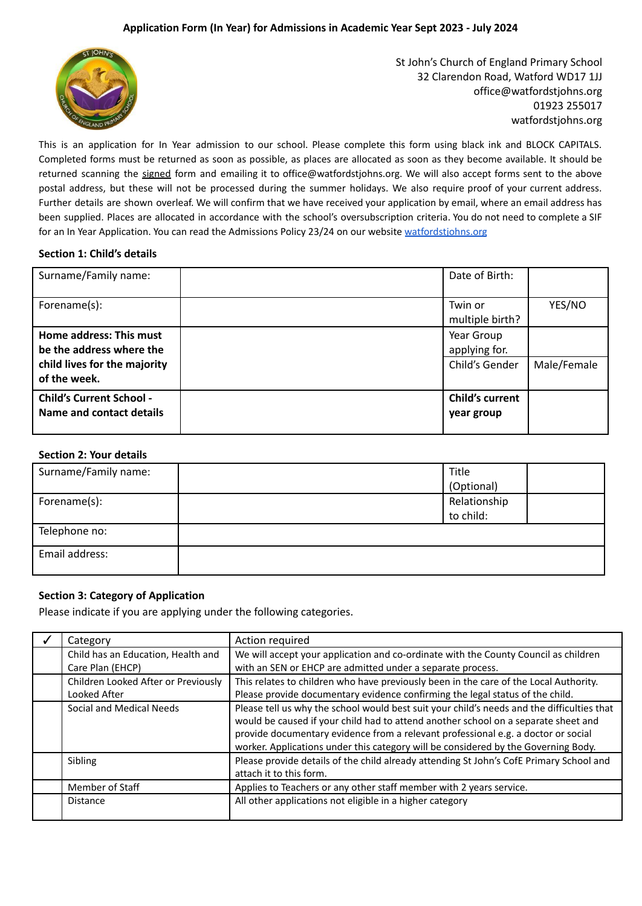## **Application Form (In Year) for Admissions in Academic Year Sept 2023 - July 2024**



St John's Church of England Primary School 32 Clarendon Road, Watford WD17 1JJ office@watfordstjohns.org 01923 255017 watfordstjohns.org

This is an application for In Year admission to our school. Please complete this form using black ink and BLOCK CAPITALS. Completed forms must be returned as soon as possible, as places are allocated as soon as they become available. It should be returned scanning the signed form and emailing it to office@watfordstjohns.org. We will also accept forms sent to the above postal address, but these will not be processed during the summer holidays. We also require proof of your current address. Further details are shown overleaf. We will confirm that we have received your application by email, where an email address has been supplied. Places are allocated in accordance with the school's oversubscription criteria. You do not need to complete a SIF for an In Year Application. You can read the Admissions Policy 23/24 on our website watfordstiohns.org

#### **Section 1: Child's details**

| Surname/Family name:                                                                                | Date of Birth:                                |             |
|-----------------------------------------------------------------------------------------------------|-----------------------------------------------|-------------|
| Forename(s):                                                                                        | Twin or<br>multiple birth?                    | YES/NO      |
| Home address: This must<br>be the address where the<br>child lives for the majority<br>of the week. | Year Group<br>applying for.<br>Child's Gender | Male/Female |
| <b>Child's Current School -</b><br>Name and contact details                                         | <b>Child's current</b><br>year group          |             |

# **Section 2: Your details**

| Surname/Family name: | Title<br>(Optional)       |
|----------------------|---------------------------|
| Forename(s):         | Relationship<br>to child: |
| Telephone no:        |                           |
| Email address:       |                           |

#### **Section 3: Category of Application**

Please indicate if you are applying under the following categories.

| Category                                               | Action required                                                                                                                                                                                                                                                                                                                                             |
|--------------------------------------------------------|-------------------------------------------------------------------------------------------------------------------------------------------------------------------------------------------------------------------------------------------------------------------------------------------------------------------------------------------------------------|
| Child has an Education, Health and<br>Care Plan (EHCP) | We will accept your application and co-ordinate with the County Council as children<br>with an SEN or EHCP are admitted under a separate process.                                                                                                                                                                                                           |
| Children Looked After or Previously<br>Looked After    | This relates to children who have previously been in the care of the Local Authority.<br>Please provide documentary evidence confirming the legal status of the child.                                                                                                                                                                                      |
| Social and Medical Needs                               | Please tell us why the school would best suit your child's needs and the difficulties that<br>would be caused if your child had to attend another school on a separate sheet and<br>provide documentary evidence from a relevant professional e.g. a doctor or social<br>worker. Applications under this category will be considered by the Governing Body. |
| Sibling                                                | Please provide details of the child already attending St John's CofE Primary School and<br>attach it to this form.                                                                                                                                                                                                                                          |
| Member of Staff                                        | Applies to Teachers or any other staff member with 2 years service.                                                                                                                                                                                                                                                                                         |
| <b>Distance</b>                                        | All other applications not eligible in a higher category                                                                                                                                                                                                                                                                                                    |